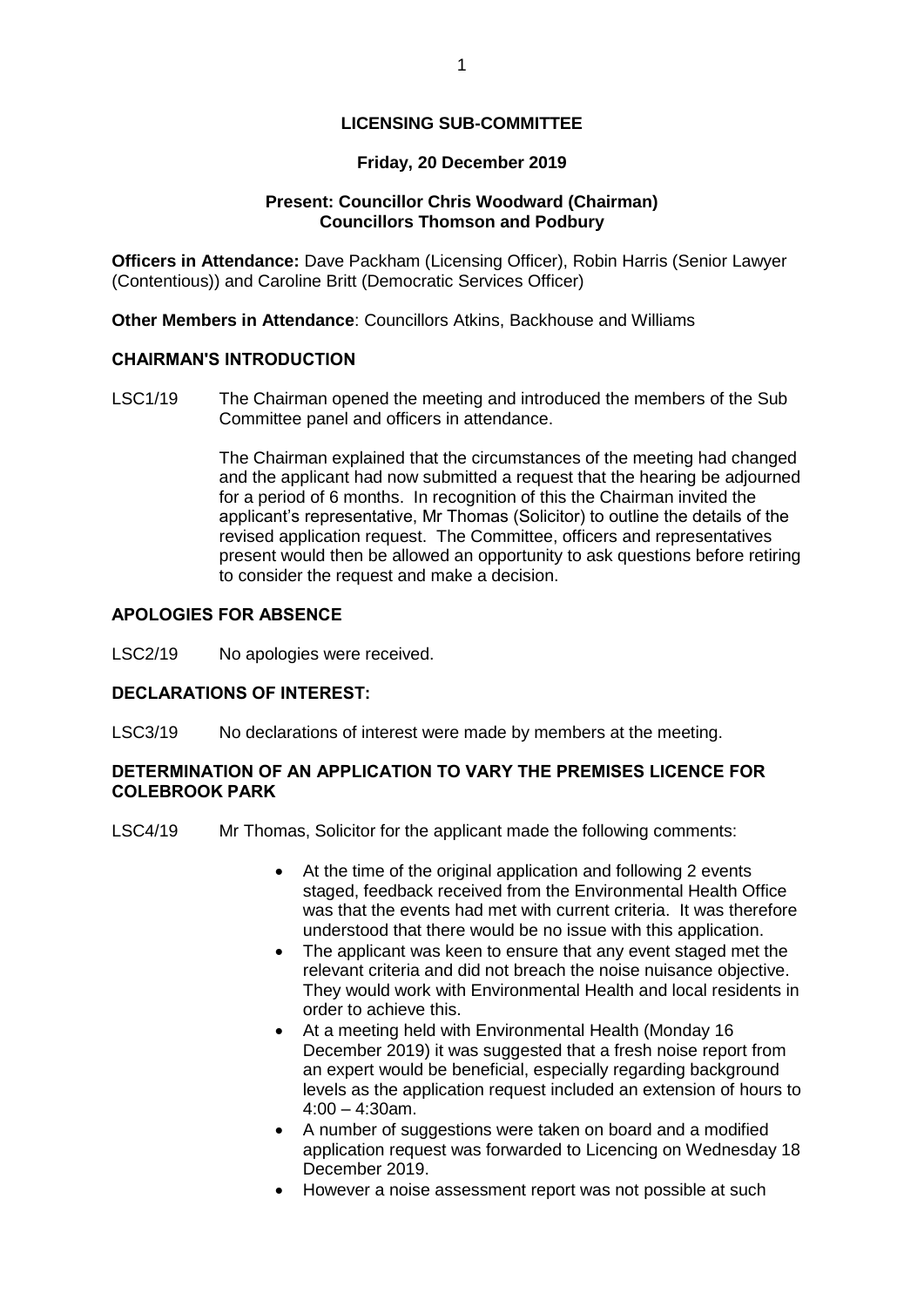# **LICENSING SUB-COMMITTEE**

### **Friday, 20 December 2019**

## **Present: Councillor Chris Woodward (Chairman) Councillors Thomson and Podbury**

**Officers in Attendance:** Dave Packham (Licensing Officer), Robin Harris (Senior Lawyer (Contentious)) and Caroline Britt (Democratic Services Officer)

**Other Members in Attendance**: Councillors Atkins, Backhouse and Williams

#### **CHAIRMAN'S INTRODUCTION**

LSC1/19 The Chairman opened the meeting and introduced the members of the Sub Committee panel and officers in attendance.

> The Chairman explained that the circumstances of the meeting had changed and the applicant had now submitted a request that the hearing be adjourned for a period of 6 months. In recognition of this the Chairman invited the applicant's representative, Mr Thomas (Solicitor) to outline the details of the revised application request. The Committee, officers and representatives present would then be allowed an opportunity to ask questions before retiring to consider the request and make a decision.

#### **APOLOGIES FOR ABSENCE**

LSC2/19 No apologies were received.

## **DECLARATIONS OF INTEREST:**

LSC3/19 No declarations of interest were made by members at the meeting.

### **DETERMINATION OF AN APPLICATION TO VARY THE PREMISES LICENCE FOR COLEBROOK PARK**

- LSC4/19 Mr Thomas, Solicitor for the applicant made the following comments:
	- At the time of the original application and following 2 events staged, feedback received from the Environmental Health Office was that the events had met with current criteria. It was therefore understood that there would be no issue with this application.
	- The applicant was keen to ensure that any event staged met the relevant criteria and did not breach the noise nuisance objective. They would work with Environmental Health and local residents in order to achieve this.
	- At a meeting held with Environmental Health (Monday 16 December 2019) it was suggested that a fresh noise report from an expert would be beneficial, especially regarding background levels as the application request included an extension of hours to  $4:00 - 4:30$ am.
	- A number of suggestions were taken on board and a modified application request was forwarded to Licencing on Wednesday 18 December 2019.
	- However a noise assessment report was not possible at such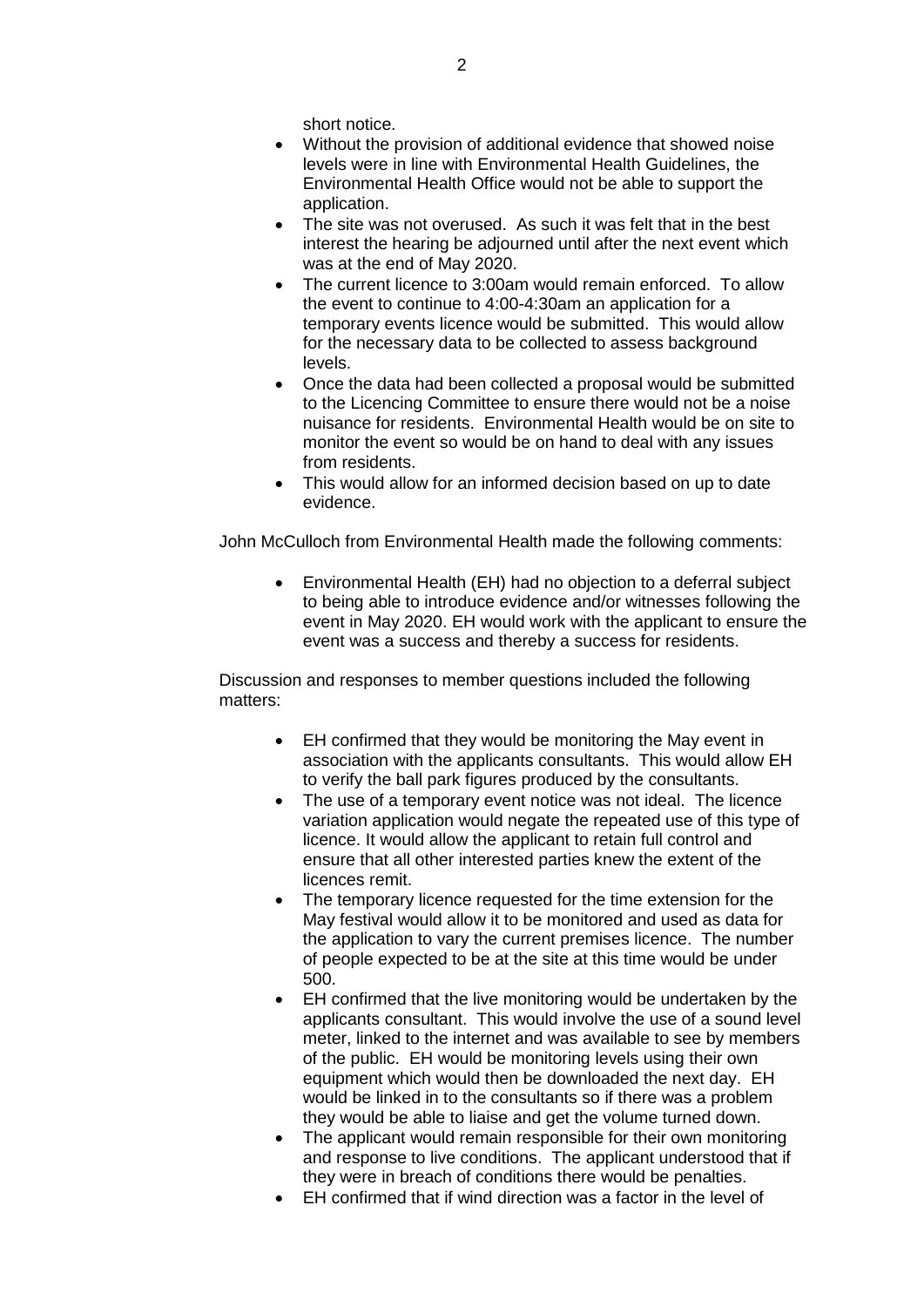short notice.

- Without the provision of additional evidence that showed noise levels were in line with Environmental Health Guidelines, the Environmental Health Office would not be able to support the application.
- The site was not overused. As such it was felt that in the best interest the hearing be adjourned until after the next event which was at the end of May 2020.
- The current licence to 3:00am would remain enforced. To allow the event to continue to 4:00-4:30am an application for a temporary events licence would be submitted. This would allow for the necessary data to be collected to assess background levels.
- Once the data had been collected a proposal would be submitted to the Licencing Committee to ensure there would not be a noise nuisance for residents. Environmental Health would be on site to monitor the event so would be on hand to deal with any issues from residents.
- This would allow for an informed decision based on up to date evidence.

John McCulloch from Environmental Health made the following comments:

 Environmental Health (EH) had no objection to a deferral subject to being able to introduce evidence and/or witnesses following the event in May 2020. EH would work with the applicant to ensure the event was a success and thereby a success for residents.

Discussion and responses to member questions included the following matters:

- EH confirmed that they would be monitoring the May event in association with the applicants consultants. This would allow EH to verify the ball park figures produced by the consultants.
- The use of a temporary event notice was not ideal. The licence variation application would negate the repeated use of this type of licence. It would allow the applicant to retain full control and ensure that all other interested parties knew the extent of the licences remit.
- The temporary licence requested for the time extension for the May festival would allow it to be monitored and used as data for the application to vary the current premises licence. The number of people expected to be at the site at this time would be under 500.
- EH confirmed that the live monitoring would be undertaken by the applicants consultant. This would involve the use of a sound level meter, linked to the internet and was available to see by members of the public. EH would be monitoring levels using their own equipment which would then be downloaded the next day. EH would be linked in to the consultants so if there was a problem they would be able to liaise and get the volume turned down.
- The applicant would remain responsible for their own monitoring and response to live conditions. The applicant understood that if they were in breach of conditions there would be penalties.
- EH confirmed that if wind direction was a factor in the level of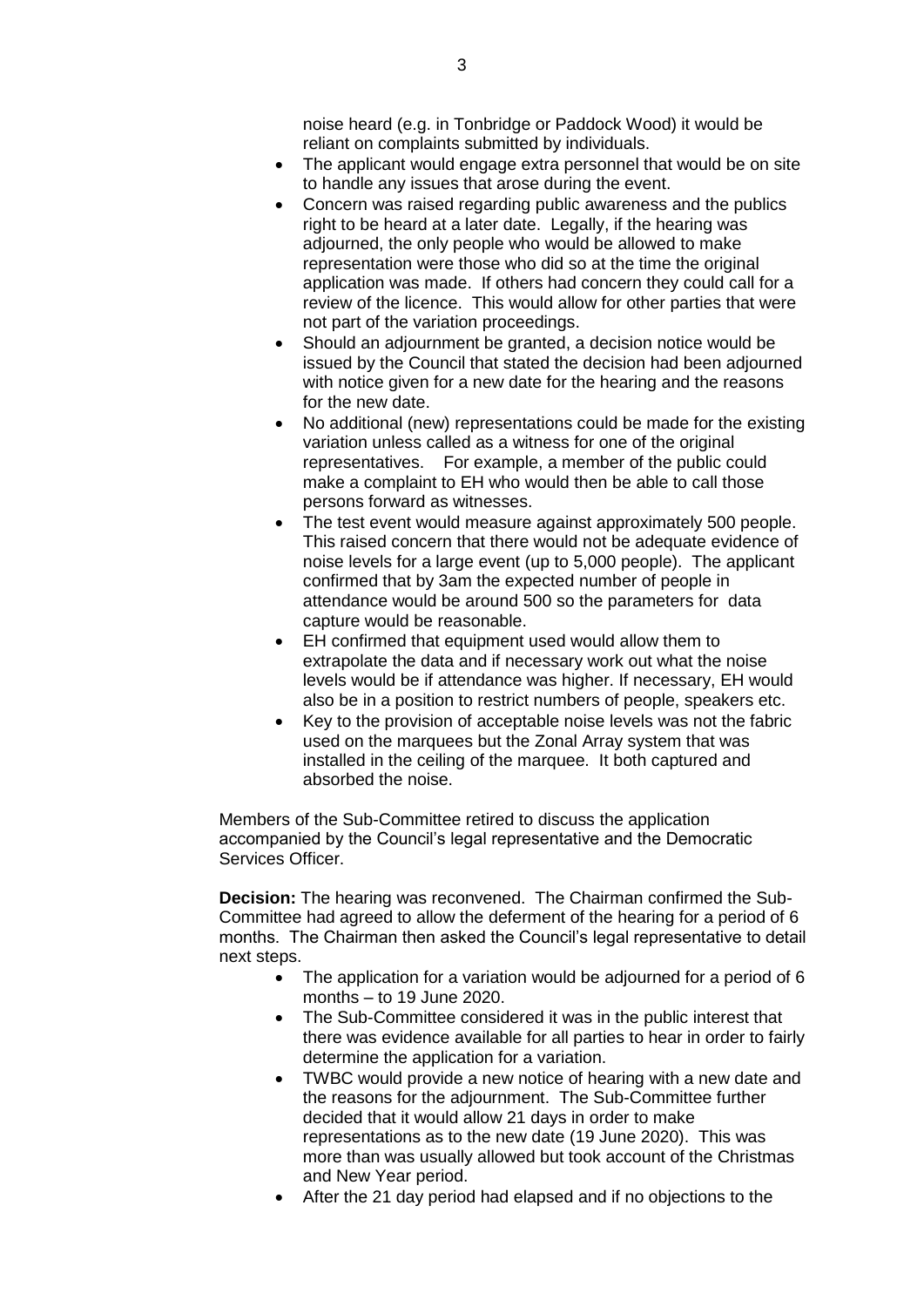noise heard (e.g. in Tonbridge or Paddock Wood) it would be reliant on complaints submitted by individuals.

- The applicant would engage extra personnel that would be on site to handle any issues that arose during the event.
- Concern was raised regarding public awareness and the publics right to be heard at a later date. Legally, if the hearing was adjourned, the only people who would be allowed to make representation were those who did so at the time the original application was made. If others had concern they could call for a review of the licence. This would allow for other parties that were not part of the variation proceedings.
- Should an adjournment be granted, a decision notice would be issued by the Council that stated the decision had been adjourned with notice given for a new date for the hearing and the reasons for the new date.
- No additional (new) representations could be made for the existing variation unless called as a witness for one of the original representatives. For example, a member of the public could make a complaint to EH who would then be able to call those persons forward as witnesses.
- The test event would measure against approximately 500 people. This raised concern that there would not be adequate evidence of noise levels for a large event (up to 5,000 people). The applicant confirmed that by 3am the expected number of people in attendance would be around 500 so the parameters for data capture would be reasonable.
- EH confirmed that equipment used would allow them to extrapolate the data and if necessary work out what the noise levels would be if attendance was higher. If necessary, EH would also be in a position to restrict numbers of people, speakers etc.
- Key to the provision of acceptable noise levels was not the fabric used on the marquees but the Zonal Array system that was installed in the ceiling of the marquee. It both captured and absorbed the noise.

Members of the Sub-Committee retired to discuss the application accompanied by the Council's legal representative and the Democratic Services Officer.

**Decision:** The hearing was reconvened. The Chairman confirmed the Sub-Committee had agreed to allow the deferment of the hearing for a period of 6 months. The Chairman then asked the Council's legal representative to detail next steps.

- The application for a variation would be adjourned for a period of 6 months – to 19 June 2020.
- The Sub-Committee considered it was in the public interest that there was evidence available for all parties to hear in order to fairly determine the application for a variation.
- TWBC would provide a new notice of hearing with a new date and the reasons for the adjournment. The Sub-Committee further decided that it would allow 21 days in order to make representations as to the new date (19 June 2020). This was more than was usually allowed but took account of the Christmas and New Year period.
- After the 21 day period had elapsed and if no objections to the